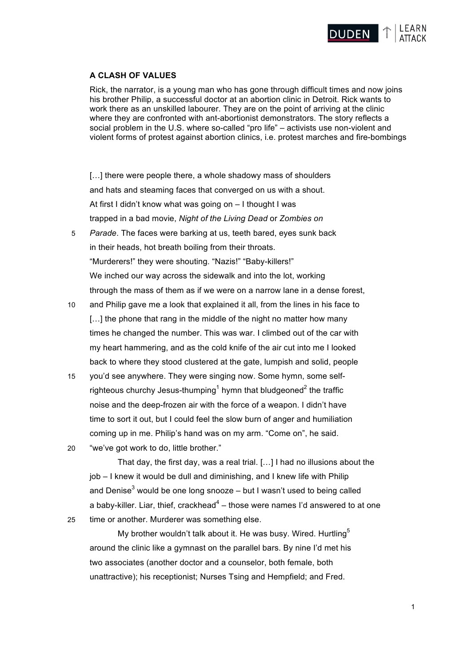

## **A CLASH OF VALUES**

Rick, the narrator, is a young man who has gone through difficult times and now joins his brother Philip, a successful doctor at an abortion clinic in Detroit. Rick wants to work there as an unskilled labourer. They are on the point of arriving at the clinic where they are confronted with ant-abortionist demonstrators. The story reflects a social problem in the U.S. where so-called "pro life" – activists use non-violent and violent forms of protest against abortion clinics, i.e. protest marches and fire-bombings

[...] there were people there, a whole shadowy mass of shoulders and hats and steaming faces that converged on us with a shout. At first I didn't know what was going on – I thought I was trapped in a bad movie, *Night of the Living Dead* or *Zombies on*  5 *Parade*. The faces were barking at us, teeth bared, eyes sunk back in their heads, hot breath boiling from their throats. "Murderers!" they were shouting. "Nazis!" "Baby-killers!" We inched our way across the sidewalk and into the lot, working through the mass of them as if we were on a narrow lane in a dense forest,

- 10 and Philip gave me a look that explained it all, from the lines in his face to [...] the phone that rang in the middle of the night no matter how many times he changed the number. This was war. I climbed out of the car with my heart hammering, and as the cold knife of the air cut into me I looked back to where they stood clustered at the gate, lumpish and solid, people
- 15 you'd see anywhere. They were singing now. Some hymn, some selfrighteous churchy Jesus-thumping<sup>1</sup> hymn that bludgeoned<sup>2</sup> the traffic noise and the deep-frozen air with the force of a weapon. I didn't have time to sort it out, but I could feel the slow burn of anger and humiliation coming up in me. Philip's hand was on my arm. "Come on", he said.
- 20 "we've got work to do, little brother."

That day, the first day, was a real trial. […] I had no illusions about the job – I knew it would be dull and diminishing, and I knew life with Philip and Denise<sup>3</sup> would be one long snooze  $-$  but I wasn't used to being called a baby-killer. Liar, thief, crackhead<sup>4</sup> – those were names I'd answered to at one 25 time or another. Murderer was something else.

My brother wouldn't talk about it. He was busy. Wired. Hurtling<sup>5</sup> around the clinic like a gymnast on the parallel bars. By nine I'd met his two associates (another doctor and a counselor, both female, both unattractive); his receptionist; Nurses Tsing and Hempfield; and Fred.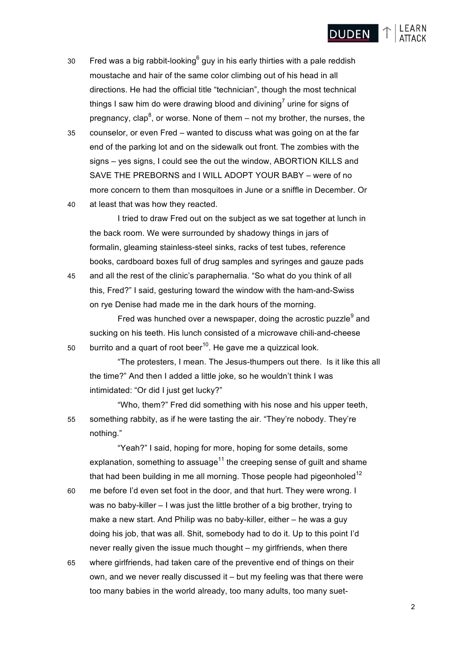## **DUDEN**

- 30 Fred was a big rabbit-looking<sup>6</sup> guy in his early thirties with a pale reddish moustache and hair of the same color climbing out of his head in all directions. He had the official title "technician", though the most technical things I saw him do were drawing blood and divining<sup>7</sup> urine for signs of pregnancy, clap<sup>8</sup>, or worse. None of them – not my brother, the nurses, the
- 35 counselor, or even Fred wanted to discuss what was going on at the far end of the parking lot and on the sidewalk out front. The zombies with the signs – yes signs, I could see the out the window, ABORTION KILLS and SAVE THE PREBORNS and I WILL ADOPT YOUR BABY – were of no more concern to them than mosquitoes in June or a sniffle in December. Or
- 40 at least that was how they reacted.

I tried to draw Fred out on the subject as we sat together at lunch in the back room. We were surrounded by shadowy things in jars of formalin, gleaming stainless-steel sinks, racks of test tubes, reference books, cardboard boxes full of drug samples and syringes and gauze pads

45 and all the rest of the clinic's paraphernalia. "So what do you think of all this, Fred?" I said, gesturing toward the window with the ham-and-Swiss on rye Denise had made me in the dark hours of the morning.

Fred was hunched over a newspaper, doing the acrostic puzzle $9$  and sucking on his teeth. His lunch consisted of a microwave chili-and-cheese  $50$  burrito and a quart of root beer<sup>10</sup>. He gave me a quizzical look.

"The protesters, I mean. The Jesus-thumpers out there. Is it like this all the time?" And then I added a little joke, so he wouldn't think I was intimidated: "Or did I just get lucky?"

"Who, them?" Fred did something with his nose and his upper teeth, 55 something rabbity, as if he were tasting the air. "They're nobody. They're nothing."

"Yeah?" I said, hoping for more, hoping for some details, some explanation, something to assuage<sup>11</sup> the creeping sense of guilt and shame that had been building in me all morning. Those people had pigeonholed<sup>12</sup>

- 60 me before I'd even set foot in the door, and that hurt. They were wrong. I was no baby-killer – I was just the little brother of a big brother, trying to make a new start. And Philip was no baby-killer, either – he was a guy doing his job, that was all. Shit, somebody had to do it. Up to this point I'd never really given the issue much thought – my girlfriends, when there
- 65 where girlfriends, had taken care of the preventive end of things on their own, and we never really discussed it – but my feeling was that there were too many babies in the world already, too many adults, too many suet-